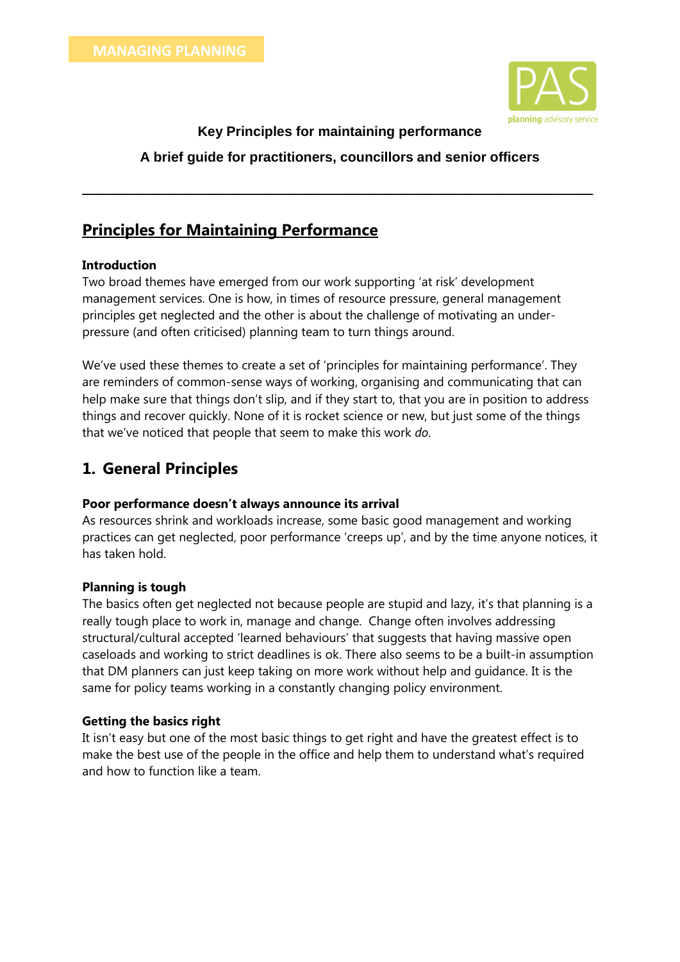

### **Key Principles for maintaining performance**

### **A brief guide for practitioners, councillors and senior officers**

**\_\_\_\_\_\_\_\_\_\_\_\_\_\_\_\_\_\_\_\_\_\_\_\_\_\_\_\_\_\_\_\_\_\_\_\_\_\_\_\_\_\_\_\_\_\_\_\_\_\_\_\_\_\_\_\_\_\_\_\_\_\_\_\_\_\_\_\_\_\_\_\_\_\_\_\_\_**

# **Principles for Maintaining Performance**

#### **Introduction**

Two broad themes have emerged from our work supporting 'at risk' development management services. One is how, in times of resource pressure, general management principles get neglected and the other is about the challenge of motivating an underpressure (and often criticised) planning team to turn things around.

We've used these themes to create a set of 'principles for maintaining performance'. They are reminders of common-sense ways of working, organising and communicating that can help make sure that things don't slip, and if they start to, that you are in position to address things and recover quickly. None of it is rocket science or new, but just some of the things that we've noticed that people that seem to make this work *do*.

## **1. General Principles**

#### **Poor performance doesn't always announce its arrival**

As resources shrink and workloads increase, some basic good management and working practices can get neglected, poor performance 'creeps up', and by the time anyone notices, it has taken hold.

### **Planning is tough**

The basics often get neglected not because people are stupid and lazy, it's that planning is a really tough place to work in, manage and change. Change often involves addressing structural/cultural accepted 'learned behaviours' that suggests that having massive open caseloads and working to strict deadlines is ok. There also seems to be a built-in assumption that DM planners can just keep taking on more work without help and guidance. It is the same for policy teams working in a constantly changing policy environment.

### **Getting the basics right**

It isn't easy but one of the most basic things to get right and have the greatest effect is to make the best use of the people in the office and help them to understand what's required and how to function like a team.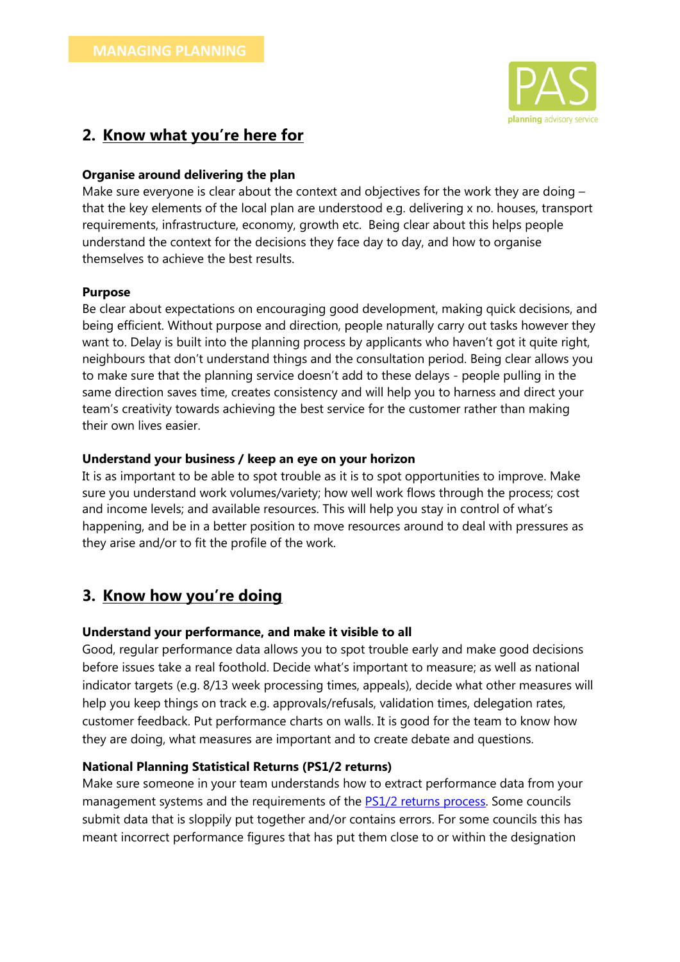

### **2. Know what you're here for**

### **Organise around delivering the plan**

Make sure everyone is clear about the context and objectives for the work they are doing – that the key elements of the local plan are understood e.g. delivering x no. houses, transport requirements, infrastructure, economy, growth etc. Being clear about this helps people understand the context for the decisions they face day to day, and how to organise themselves to achieve the best results.

### **Purpose**

Be clear about expectations on encouraging good development, making quick decisions, and being efficient. Without purpose and direction, people naturally carry out tasks however they want to. Delay is built into the planning process by applicants who haven't got it quite right, neighbours that don't understand things and the consultation period. Being clear allows you to make sure that the planning service doesn't add to these delays - people pulling in the same direction saves time, creates consistency and will help you to harness and direct your team's creativity towards achieving the best service for the customer rather than making their own lives easier.

### **Understand your business / keep an eye on your horizon**

It is as important to be able to spot trouble as it is to spot opportunities to improve. Make sure you understand work volumes/variety; how well work flows through the process; cost and income levels; and available resources. This will help you stay in control of what's happening, and be in a better position to move resources around to deal with pressures as they arise and/or to fit the profile of the work.

## **3. Know how you're doing**

### **Understand your performance, and make it visible to all**

Good, regular performance data allows you to spot trouble early and make good decisions before issues take a real foothold. Decide what's important to measure; as well as national indicator targets (e.g. 8/13 week processing times, appeals), decide what other measures will help you keep things on track e.g. approvals/refusals, validation times, delegation rates, customer feedback. Put performance charts on walls. It is good for the team to know how they are doing, what measures are important and to create debate and questions.

#### **National Planning Statistical Returns (PS1/2 returns)**

Make sure someone in your team understands how to extract performance data from your management systems and the requirements of the [PS1/2 returns process.](https://www.gov.uk/government/collections/planning-applications-statistics#forms-and-guidance-notes) Some councils submit data that is sloppily put together and/or contains errors. For some councils this has meant incorrect performance figures that has put them close to or within the designation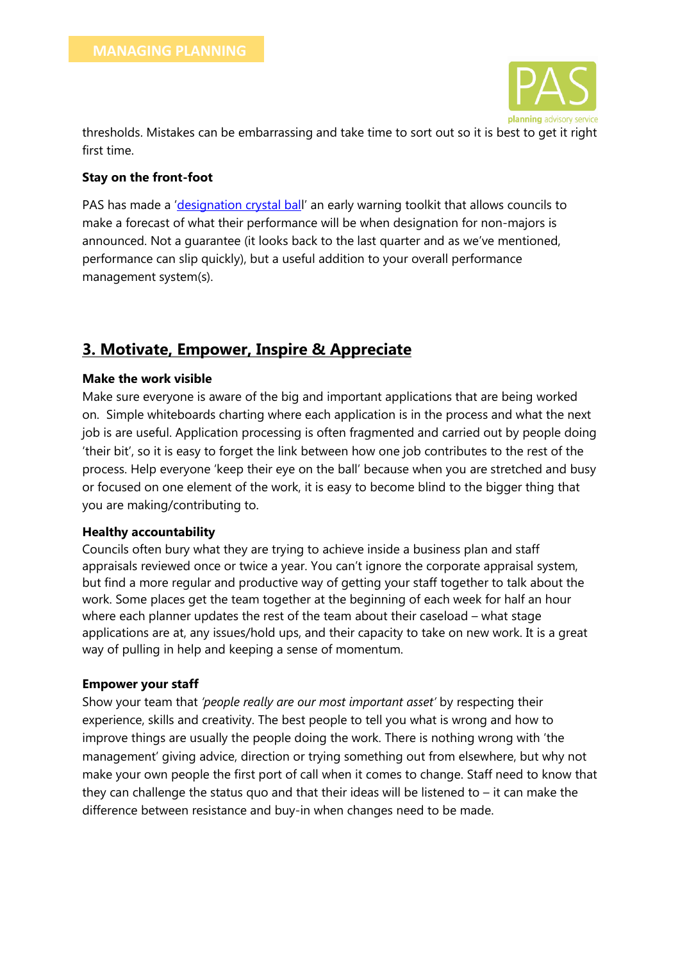

thresholds. Mistakes can be embarrassing and take time to sort out so it is best to get it right first time.

### **Stay on the front-foot**

PAS has made a '[designation crystal bal](https://planningadvisor.wordpress.com/2016/02/23/designation-crystal-ball/)l' an early warning toolkit that allows councils to make a forecast of what their performance will be when designation for non-majors is announced. Not a guarantee (it looks back to the last quarter and as we've mentioned, performance can slip quickly), but a useful addition to your overall performance management system(s).

# **3. Motivate, Empower, Inspire & Appreciate**

### **Make the work visible**

Make sure everyone is aware of the big and important applications that are being worked on. Simple whiteboards charting where each application is in the process and what the next job is are useful. Application processing is often fragmented and carried out by people doing 'their bit', so it is easy to forget the link between how one job contributes to the rest of the process. Help everyone 'keep their eye on the ball' because when you are stretched and busy or focused on one element of the work, it is easy to become blind to the bigger thing that you are making/contributing to.

#### **Healthy accountability**

Councils often bury what they are trying to achieve inside a business plan and staff appraisals reviewed once or twice a year. You can't ignore the corporate appraisal system, but find a more regular and productive way of getting your staff together to talk about the work. Some places get the team together at the beginning of each week for half an hour where each planner updates the rest of the team about their caseload – what stage applications are at, any issues/hold ups, and their capacity to take on new work. It is a great way of pulling in help and keeping a sense of momentum.

### **Empower your staff**

Show your team that *'people really are our most important asset'* by respecting their experience, skills and creativity. The best people to tell you what is wrong and how to improve things are usually the people doing the work. There is nothing wrong with 'the management' giving advice, direction or trying something out from elsewhere, but why not make your own people the first port of call when it comes to change. Staff need to know that they can challenge the status quo and that their ideas will be listened to  $-$  it can make the difference between resistance and buy-in when changes need to be made.